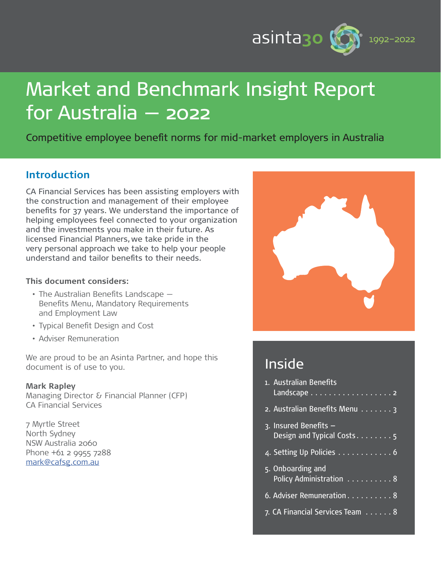

# Market and Benchmark Insight Report for Australia — 2022

Competitive employee benefit norms for mid-market employers in Australia

# **Introduction**

CA Financial Services has been assisting employers with the construction and management of their employee benefits for 37 years. We understand the importance of helping employees feel connected to your organization and the investments you make in their future. As licensed Financial Planners, we take pride in the very personal approach we take to help your people understand and tailor benefits to their needs.

### **This document considers:**

- The Australian Benefits Landscape Benefits Menu, Mandatory Requirements and Employment Law
- Typical Benefit Design and Cost
- Adviser Remuneration

We are proud to be an Asinta Partner, and hope this document is of use to you.

#### **Mark Rapley**

Managing Director & Financial Planner (CFP) CA Financial Services

7 Myrtle Street North Sydney NSW Australia 2060 Phone +61 2 9955 7288 [mark@cafsg.com.au](mailto:mark%40cafsg.com.au?subject=)



# Inside

| 1. Australian Benefits<br>Landscape <del>.</del> 2 |
|----------------------------------------------------|
| 2. Australian Benefits Menu 3                      |
| 3. Insured Benefits -<br>Design and Typical Costs5 |
| 4. Setting Up Policies 6                           |
| 5. Onboarding and<br>Policy Administration 8       |
| 6. Adviser Remuneration 8                          |
| 7. CA Financial Services Team 8                    |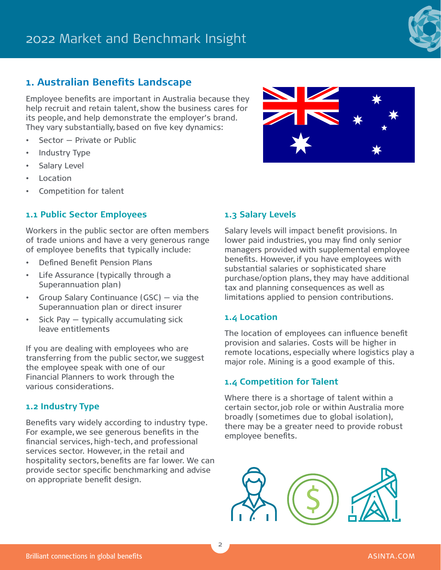### **1. Australian Benefits Landscape**

Employee benefits are important in Australia because they help recruit and retain talent, show the business cares for its people, and help demonstrate the employer's brand. They vary substantially, based on five key dynamics:

- Sector Private or Public
- Industry Type
- Salary Level
- **Location**
- Competition for talent

### **1.1 Public Sector Employees**

Workers in the public sector are often members of trade unions and have a very generous range of employee benefits that typically include:

- Defined Benefit Pension Plans
- Life Assurance (typically through a Superannuation plan)
- Group Salary Continuance (GSC) via the Superannuation plan or direct insurer
- Sick Pay typically accumulating sick leave entitlements

If you are dealing with employees who are transferring from the public sector, we suggest the employee speak with one of our Financial Planners to work through the various considerations.

### **1.2 Industry Type**

Benefits vary widely according to industry type. For example, we see generous benefits in the financial services, high-tech, and professional services sector. However, in the retail and hospitality sectors, benefits are far lower. We can provide sector specific benchmarking and advise on appropriate benefit design.

### **1.3 Salary Levels**

Salary levels will impact benefit provisions. In lower paid industries, you may find only senior managers provided with supplemental employee benefits. However, if you have employees with substantial salaries or sophisticated share purchase/option plans, they may have additional tax and planning consequences as well as limitations applied to pension contributions.

### **1.4 Location**

The location of employees can influence benefit provision and salaries. Costs will be higher in remote locations, especially where logistics play a major role. Mining is a good example of this.

### **1.4 Competition for Talent**

Where there is a shortage of talent within a certain sector, job role or within Australia more broadly (sometimes due to global isolation), there may be a greater need to provide robust employee benefits.





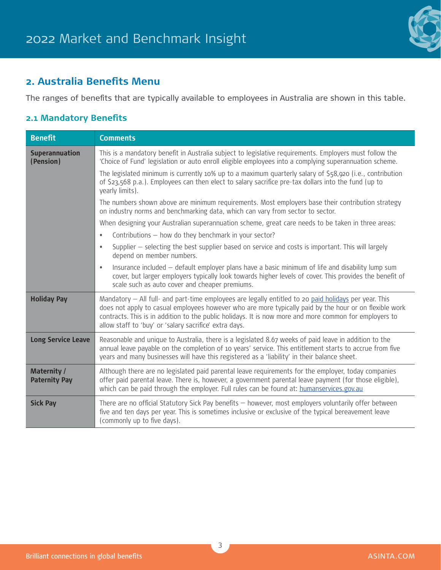

# **2. Australia Benefits Menu**

The ranges of benefits that are typically available to employees in Australia are shown in this table.

# **2.1 Mandatory Benefits**

| <b>Benefit</b>                             | <b>Comments</b>                                                                                                                                                                                                                                                                                                                                                                     |  |  |  |  |
|--------------------------------------------|-------------------------------------------------------------------------------------------------------------------------------------------------------------------------------------------------------------------------------------------------------------------------------------------------------------------------------------------------------------------------------------|--|--|--|--|
| Superannuation<br>(Pension)                | This is a mandatory benefit in Australia subject to legislative requirements. Employers must follow the<br>'Choice of Fund' legislation or auto enroll eligible employees into a complying superannuation scheme.                                                                                                                                                                   |  |  |  |  |
|                                            | The legislated minimum is currently 10% up to a maximum quarterly salary of \$58,920 (i.e., contribution<br>of \$23,568 p.a.). Employees can then elect to salary sacrifice pre-tax dollars into the fund (up to<br>yearly limits).                                                                                                                                                 |  |  |  |  |
|                                            | The numbers shown above are minimum requirements. Most employers base their contribution strategy<br>on industry norms and benchmarking data, which can vary from sector to sector.                                                                                                                                                                                                 |  |  |  |  |
|                                            | When designing your Australian superannuation scheme, great care needs to be taken in three areas:                                                                                                                                                                                                                                                                                  |  |  |  |  |
|                                            | Contributions - how do they benchmark in your sector?<br>$\bullet$                                                                                                                                                                                                                                                                                                                  |  |  |  |  |
|                                            | Supplier - selecting the best supplier based on service and costs is important. This will largely<br>$\bullet$<br>depend on member numbers.                                                                                                                                                                                                                                         |  |  |  |  |
|                                            | Insurance included - default employer plans have a basic minimum of life and disability lump sum<br>$\bullet$<br>cover, but larger employers typically look towards higher levels of cover. This provides the benefit of<br>scale such as auto cover and cheaper premiums.                                                                                                          |  |  |  |  |
| <b>Holiday Pay</b>                         | Mandatory - All full- and part-time employees are legally entitled to 20 paid holidays per year. This<br>does not apply to casual employees however who are more typically paid by the hour or on flexible work<br>contracts. This is in addition to the public holidays. It is now more and more common for employers to<br>allow staff to 'buy' or 'salary sacrifice' extra days. |  |  |  |  |
| <b>Long Service Leave</b>                  | Reasonable and unique to Australia, there is a legislated 8.67 weeks of paid leave in addition to the<br>annual leave payable on the completion of 10 years' service. This entitlement starts to accrue from five<br>years and many businesses will have this registered as a 'liability' in their balance sheet.                                                                   |  |  |  |  |
| <b>Maternity /</b><br><b>Paternity Pay</b> | Although there are no legislated paid parental leave requirements for the employer, today companies<br>offer paid parental leave. There is, however, a government parental leave payment (for those eligible),<br>which can be paid through the employer. Full rules can be found at: humanservices.gov.au                                                                          |  |  |  |  |
| <b>Sick Pay</b>                            | There are no official Statutory Sick Pay benefits - however, most employers voluntarily offer between<br>five and ten days per year. This is sometimes inclusive or exclusive of the typical bereavement leave<br>(commonly up to five days).                                                                                                                                       |  |  |  |  |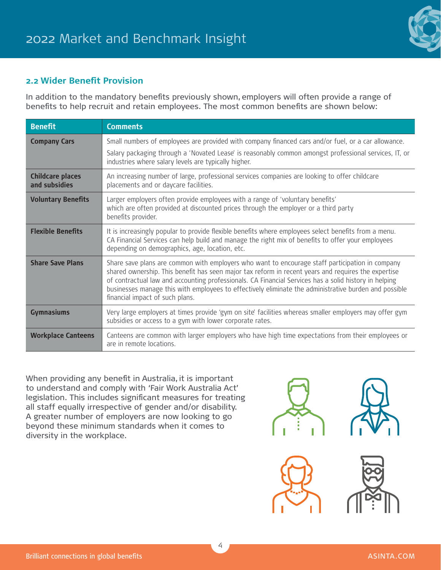

### **2.2 Wider Benefit Provision**

In addition to the mandatory benefits previously shown, employers will often provide a range of benefits to help recruit and retain employees. The most common benefits are shown below:

| <b>Benefit</b>                           | <b>Comments</b>                                                                                                                                                                                                                                                                                                                                                                                                                                             |
|------------------------------------------|-------------------------------------------------------------------------------------------------------------------------------------------------------------------------------------------------------------------------------------------------------------------------------------------------------------------------------------------------------------------------------------------------------------------------------------------------------------|
| <b>Company Cars</b>                      | Small numbers of employees are provided with company financed cars and/or fuel, or a car allowance.<br>Salary packaging through a 'Novated Lease' is reasonably common amongst professional services, IT, or<br>industries where salary levels are typically higher.                                                                                                                                                                                        |
| <b>Childcare places</b><br>and subsidies | An increasing number of large, professional services companies are looking to offer childcare<br>placements and or daycare facilities.                                                                                                                                                                                                                                                                                                                      |
| <b>Voluntary Benefits</b>                | Larger employers often provide employees with a range of 'voluntary benefits'<br>which are often provided at discounted prices through the employer or a third party<br>benefits provider.                                                                                                                                                                                                                                                                  |
| <b>Flexible Benefits</b>                 | It is increasingly popular to provide flexible benefits where employees select benefits from a menu.<br>CA Financial Services can help build and manage the right mix of benefits to offer your employees<br>depending on demographics, age, location, etc.                                                                                                                                                                                                 |
| <b>Share Save Plans</b>                  | Share save plans are common with employers who want to encourage staff participation in company<br>shared ownership. This benefit has seen major tax reform in recent years and requires the expertise<br>of contractual law and accounting professionals. CA Financial Services has a solid history in helping<br>businesses manage this with employees to effectively eliminate the administrative burden and possible<br>financial impact of such plans. |
| <b>Gymnasiums</b>                        | Very large employers at times provide 'gym on site' facilities whereas smaller employers may offer gym<br>subsidies or access to a gym with lower corporate rates.                                                                                                                                                                                                                                                                                          |
| <b>Workplace Canteens</b>                | Canteens are common with larger employers who have high time expectations from their employees or<br>are in remote locations.                                                                                                                                                                                                                                                                                                                               |

When providing any benefit in Australia, it is important to understand and comply with 'Fair Work Australia Act' legislation. This includes significant measures for treating all staff equally irrespective of gender and/or disability. A greater number of employers are now looking to go beyond these minimum standards when it comes to diversity in the workplace.



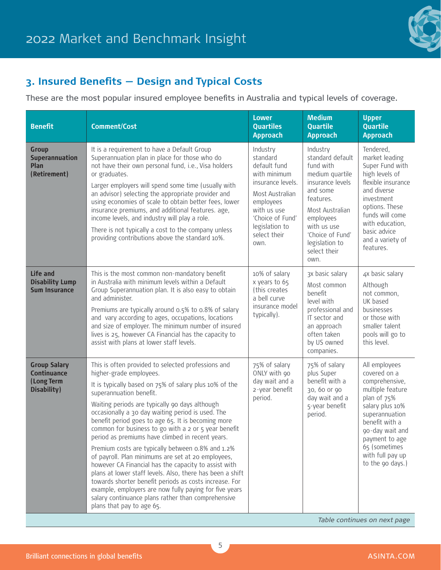# 2022 Market and Benchmark Insight



# **3. Insured Benefits — Design and Typical Costs**

These are the most popular insured employee benefits in Australia and typical levels of coverage.

| <b>Benefit</b>                                                         | <b>Comment/Cost</b>                                                                                                                                                                                                                                                                                                                                                                                                                                                                                                                                                                                                                                                                                                                                                                                                                                                                | <b>Lower</b><br><b>Quartiles</b><br><b>Approach</b>                                                                                                                                    | <b>Medium</b><br><b>Quartile</b><br><b>Approach</b>                                                                                                                                                                    | <b>Upper</b><br><b>Quartile</b><br><b>Approach</b>                                                                                                                                                                                      |
|------------------------------------------------------------------------|------------------------------------------------------------------------------------------------------------------------------------------------------------------------------------------------------------------------------------------------------------------------------------------------------------------------------------------------------------------------------------------------------------------------------------------------------------------------------------------------------------------------------------------------------------------------------------------------------------------------------------------------------------------------------------------------------------------------------------------------------------------------------------------------------------------------------------------------------------------------------------|----------------------------------------------------------------------------------------------------------------------------------------------------------------------------------------|------------------------------------------------------------------------------------------------------------------------------------------------------------------------------------------------------------------------|-----------------------------------------------------------------------------------------------------------------------------------------------------------------------------------------------------------------------------------------|
| <b>Group</b><br><b>Superannuation</b><br>Plan<br>(Retirement)          | It is a requirement to have a Default Group<br>Superannuation plan in place for those who do<br>not have their own personal fund, i.e., Visa holders<br>or graduates.<br>Larger employers will spend some time (usually with<br>an advisor) selecting the appropriate provider and<br>using economies of scale to obtain better fees, lower<br>insurance premiums, and additional features. age,<br>income levels, and industry will play a role.<br>There is not typically a cost to the company unless<br>providing contributions above the standard 10%.                                                                                                                                                                                                                                                                                                                        | Industry<br>standard<br>default fund<br>with minimum<br>insurance levels.<br>Most Australian<br>employees<br>with us use<br>'Choice of Fund'<br>legislation to<br>select their<br>own. | Industry<br>standard default<br>fund with<br>medium quartile<br>insurance levels<br>and some<br>features.<br>Most Australian<br>employees<br>with us use<br>'Choice of Fund'<br>legislation to<br>select their<br>own. | Tendered,<br>market leading<br>Super Fund with<br>high levels of<br>flexible insurance<br>and diverse<br>investment<br>options. These<br>funds will come<br>with education,<br>basic advice<br>and a variety of<br>features.            |
| Life and<br><b>Disability Lump</b><br><b>Sum Insurance</b>             | This is the most common non-mandatory benefit<br>in Australia with minimum levels within a Default<br>Group Superannuation plan. It is also easy to obtain<br>and administer.<br>Premiums are typically around 0.5% to 0.8% of salary<br>and vary according to ages, occupations, locations<br>and size of employer. The minimum number of insured<br>lives is 25, however CA Financial has the capacity to<br>assist with plans at lower staff levels.                                                                                                                                                                                                                                                                                                                                                                                                                            | 10% of salary<br>x years to 65<br>(this creates<br>a bell curve<br>insurance model<br>typically).                                                                                      | 3x basic salary<br>Most common<br>benefit<br>level with<br>professional and<br>IT sector and<br>an approach<br>often taken<br>by US owned<br>companies.                                                                | 4x basic salary<br>Although<br>not common,<br>UK based<br>businesses<br>or those with<br>smaller talent<br>pools will go to<br>this level.                                                                                              |
| <b>Group Salary</b><br><b>Continuance</b><br>(Long Term<br>Disability) | This is often provided to selected professions and<br>higher-grade employees.<br>It is typically based on 75% of salary plus 10% of the<br>superannuation benefit.<br>Waiting periods are typically 90 days although<br>occasionally a 30 day waiting period is used. The<br>benefit period goes to age 65. It is becoming more<br>common for business to go with a 2 or 5 year benefit<br>period as premiums have climbed in recent years.<br>Premium costs are typically between 0.8% and 1.2%<br>of payroll. Plan minimums are set at 20 employees,<br>however CA Financial has the capacity to assist with<br>plans at lower staff levels. Also, there has been a shift<br>towards shorter benefit periods as costs increase. For<br>example, employers are now fully paying for five years<br>salary continuance plans rather than comprehensive<br>plans that pay to age 65. | 75% of salary<br>ONLY with 90<br>day wait and a<br>2-year benefit<br>period.                                                                                                           | 75% of salary<br>plus Super<br>benefit with a<br>30, 60 or 90<br>day wait and a<br>5-year benefit<br>period.                                                                                                           | All employees<br>covered on a<br>comprehensive,<br>multiple feature<br>plan of 75%<br>salary plus 10%<br>superannuation<br>benefit with a<br>90-day wait and<br>payment to age<br>65 (sometimes<br>with full pay up<br>to the 90 days.) |

*Table continues on next page*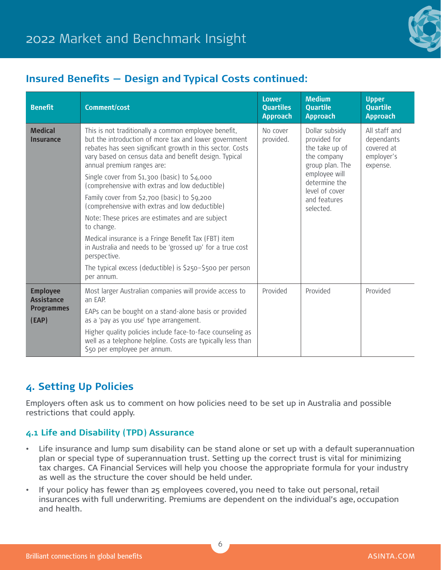

# **Insured Benefits — Design and Typical Costs continued:**

| <b>Benefit</b>                                                     | <b>Comment/cost</b>                                                                                                                                                                                                                                                                                               | <b>Lower</b><br><b>Quartiles</b><br><b>Approach</b> | <b>Medium</b><br><b>Quartile</b><br><b>Approach</b>                                                                                                                 | <b>Upper</b><br><b>Quartile</b><br><b>Approach</b>                  |
|--------------------------------------------------------------------|-------------------------------------------------------------------------------------------------------------------------------------------------------------------------------------------------------------------------------------------------------------------------------------------------------------------|-----------------------------------------------------|---------------------------------------------------------------------------------------------------------------------------------------------------------------------|---------------------------------------------------------------------|
| <b>Medical</b><br><b>Insurance</b>                                 | This is not traditionally a common employee benefit,<br>but the introduction of more tax and lower government<br>rebates has seen significant growth in this sector. Costs<br>vary based on census data and benefit design. Typical<br>annual premium ranges are:<br>Single cover from \$1,300 (basic) to \$4,000 | No cover<br>provided.                               | Dollar subsidy<br>provided for<br>the take up of<br>the company<br>group plan. The<br>employee will<br>determine the<br>level of cover<br>and features<br>selected. | All staff and<br>dependants<br>covered at<br>employer's<br>expense. |
|                                                                    | (comprehensive with extras and low deductible)                                                                                                                                                                                                                                                                    |                                                     |                                                                                                                                                                     |                                                                     |
|                                                                    | Family cover from \$2,700 (basic) to \$9,200<br>(comprehensive with extras and low deductible)                                                                                                                                                                                                                    |                                                     |                                                                                                                                                                     |                                                                     |
|                                                                    | Note: These prices are estimates and are subject<br>to change.                                                                                                                                                                                                                                                    |                                                     |                                                                                                                                                                     |                                                                     |
|                                                                    | Medical insurance is a Fringe Benefit Tax (FBT) item<br>in Australia and needs to be 'grossed up' for a true cost<br>perspective.                                                                                                                                                                                 |                                                     |                                                                                                                                                                     |                                                                     |
|                                                                    | The typical excess (deductible) is \$250-\$500 per person<br>per annum.                                                                                                                                                                                                                                           |                                                     |                                                                                                                                                                     |                                                                     |
| <b>Employee</b><br><b>Assistance</b><br><b>Programmes</b><br>(EAP) | Most larger Australian companies will provide access to<br>an EAP.                                                                                                                                                                                                                                                | Provided                                            | Provided                                                                                                                                                            | Provided                                                            |
|                                                                    | EAPs can be bought on a stand-alone basis or provided<br>as a 'pay as you use' type arrangement.                                                                                                                                                                                                                  |                                                     |                                                                                                                                                                     |                                                                     |
|                                                                    | Higher quality policies include face-to-face counseling as<br>well as a telephone helpline. Costs are typically less than<br>\$50 per employee per annum.                                                                                                                                                         |                                                     |                                                                                                                                                                     |                                                                     |

# **4. Setting Up Policies**

Employers often ask us to comment on how policies need to be set up in Australia and possible restrictions that could apply.

### **4.1 Life and Disability (TPD) Assurance**

- Life insurance and lump sum disability can be stand alone or set up with a default superannuation plan or special type of superannuation trust. Setting up the correct trust is vital for minimizing tax charges. CA Financial Services will help you choose the appropriate formula for your industry as well as the structure the cover should be held under.
- If your policy has fewer than 25 employees covered, you need to take out personal, retail insurances with full underwriting. Premiums are dependent on the individual's age, occupation and health.

6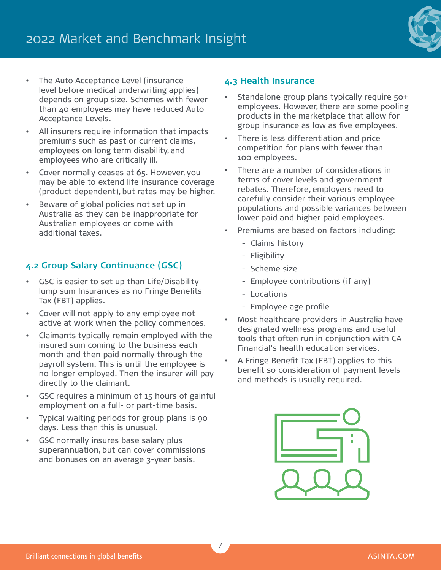

- The Auto Acceptance Level (insurance level before medical underwriting applies) depends on group size. Schemes with fewer than 40 employees may have reduced Auto Acceptance Levels.
- All insurers require information that impacts premiums such as past or current claims, employees on long term disability, and employees who are critically ill.
- Cover normally ceases at 65. However, you may be able to extend life insurance coverage (product dependent), but rates may be higher.
- Beware of global policies not set up in Australia as they can be inappropriate for Australian employees or come with additional taxes.

### **4.2 Group Salary Continuance (GSC)**

- GSC is easier to set up than Life/Disability lump sum Insurances as no Fringe Benefits Tax (FBT) applies.
- Cover will not apply to any employee not active at work when the policy commences.
- Claimants typically remain employed with the insured sum coming to the business each month and then paid normally through the payroll system. This is until the employee is no longer employed. Then the insurer will pay directly to the claimant.
- GSC requires a minimum of 15 hours of gainful employment on a full- or part-time basis.
- Typical waiting periods for group plans is 90 days. Less than this is unusual.
- GSC normally insures base salary plus superannuation, but can cover commissions and bonuses on an average 3-year basis.

### **4.3 Health Insurance**

- Standalone group plans typically require 50+ employees. However, there are some pooling products in the marketplace that allow for group insurance as low as five employees.
- There is less differentiation and price competition for plans with fewer than 100 employees.
- There are a number of considerations in terms of cover levels and government rebates. Therefore, employers need to carefully consider their various employee populations and possible variances between lower paid and higher paid employees.
- Premiums are based on factors including:
	- Claims history
	- Eligibility
	- Scheme size
	- Employee contributions (if any)
	- Locations
	- Employee age profile
- Most healthcare providers in Australia have designated wellness programs and useful tools that often run in conjunction with CA Financial's health education services.
- A Fringe Benefit Tax (FBT) applies to this benefit so consideration of payment levels and methods is usually required.